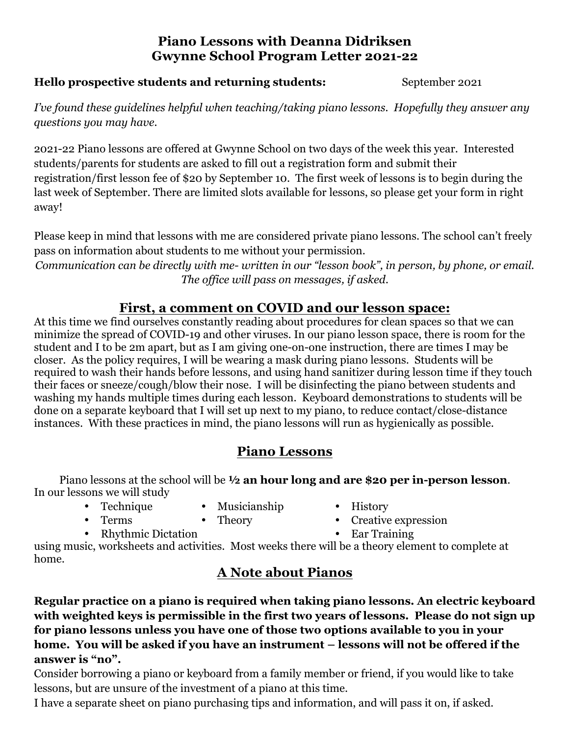### **Piano Lessons with Deanna Didriksen Gwynne School Program Letter 2021-22**

#### **Hello prospective students and returning students:** September 2021

*I've found these guidelines helpful when teaching/taking piano lessons. Hopefully they answer any questions you may have.*

2021-22 Piano lessons are offered at Gwynne School on two days of the week this year. Interested students/parents for students are asked to fill out a registration form and submit their registration/first lesson fee of \$20 by September 10. The first week of lessons is to begin during the last week of September. There are limited slots available for lessons, so please get your form in right away!

Please keep in mind that lessons with me are considered private piano lessons. The school can't freely pass on information about students to me without your permission.

*Communication can be directly with me- written in our "lesson book", in person, by phone, or email. The office will pass on messages, if asked.*

# **First, a comment on COVID and our lesson space:**

At this time we find ourselves constantly reading about procedures for clean spaces so that we can minimize the spread of COVID-19 and other viruses. In our piano lesson space, there is room for the student and I to be 2m apart, but as I am giving one-on-one instruction, there are times I may be closer. As the policy requires, I will be wearing a mask during piano lessons. Students will be required to wash their hands before lessons, and using hand sanitizer during lesson time if they touch their faces or sneeze/cough/blow their nose. I will be disinfecting the piano between students and washing my hands multiple times during each lesson. Keyboard demonstrations to students will be done on a separate keyboard that I will set up next to my piano, to reduce contact/close-distance instances. With these practices in mind, the piano lessons will run as hygienically as possible.

# **Piano Lessons**

Piano lessons at the school will be **½ an hour long and are \$20 per in-person lesson**. In our lessons we will study

- 
- Musicianship History
	-
- Terms Theory Creative expression
- Rhythmic Dictation Ear Training

using music, worksheets and activities. Most weeks there will be a theory element to complete at home.

# **A Note about Pianos**

**Regular practice on a piano is required when taking piano lessons. An electric keyboard with weighted keys is permissible in the first two years of lessons. Please do not sign up for piano lessons unless you have one of those two options available to you in your home. You will be asked if you have an instrument – lessons will not be offered if the answer is "no".**

Consider borrowing a piano or keyboard from a family member or friend, if you would like to take lessons, but are unsure of the investment of a piano at this time.

I have a separate sheet on piano purchasing tips and information, and will pass it on, if asked.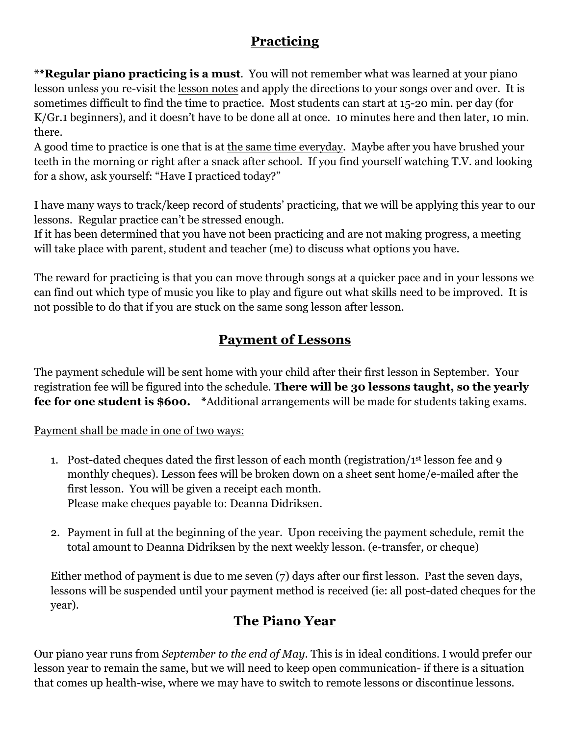# **Practicing**

**\*\*Regular piano practicing is a must**. You will not remember what was learned at your piano lesson unless you re-visit the lesson notes and apply the directions to your songs over and over. It is sometimes difficult to find the time to practice. Most students can start at 15-20 min. per day (for K/Gr.1 beginners), and it doesn't have to be done all at once. 10 minutes here and then later, 10 min. there.

A good time to practice is one that is at the same time everyday. Maybe after you have brushed your teeth in the morning or right after a snack after school. If you find yourself watching T.V. and looking for a show, ask yourself: "Have I practiced today?"

I have many ways to track/keep record of students' practicing, that we will be applying this year to our lessons. Regular practice can't be stressed enough.

If it has been determined that you have not been practicing and are not making progress, a meeting will take place with parent, student and teacher (me) to discuss what options you have.

The reward for practicing is that you can move through songs at a quicker pace and in your lessons we can find out which type of music you like to play and figure out what skills need to be improved. It is not possible to do that if you are stuck on the same song lesson after lesson.

# **Payment of Lessons**

The payment schedule will be sent home with your child after their first lesson in September. Your registration fee will be figured into the schedule. **There will be 30 lessons taught, so the yearly fee for one student is \$600. \***Additional arrangements will be made for students taking exams.

#### Payment shall be made in one of two ways:

- 1. Post-dated cheques dated the first lesson of each month (registration/1st lesson fee and 9 monthly cheques). Lesson fees will be broken down on a sheet sent home/e-mailed after the first lesson. You will be given a receipt each month. Please make cheques payable to: Deanna Didriksen.
- 2. Payment in full at the beginning of the year. Upon receiving the payment schedule, remit the total amount to Deanna Didriksen by the next weekly lesson. (e-transfer, or cheque)

Either method of payment is due to me seven (7) days after our first lesson. Past the seven days, lessons will be suspended until your payment method is received (ie: all post-dated cheques for the year).

# **The Piano Year**

Our piano year runs from *September to the end of May*. This is in ideal conditions. I would prefer our lesson year to remain the same, but we will need to keep open communication- if there is a situation that comes up health-wise, where we may have to switch to remote lessons or discontinue lessons.